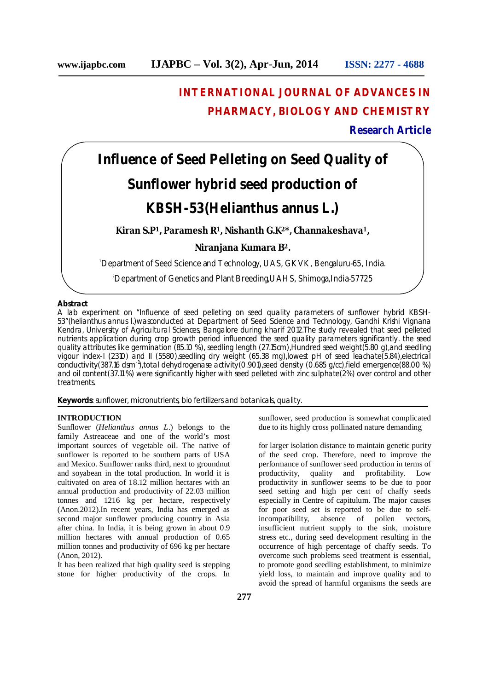# **INTERNATIONAL JOURNAL OF ADVANCES IN PHARMACY, BIOLOGY AND CHEMISTRY**

# **Research Article**

**Influence of Seed Pelleting on Seed Quality of Sunflower hybrid seed production of KBSH-53(***Helianthus annus L***.)**

**Kiran S.P1, Paramesh R1, Nishanth G.K2\*, Channakeshava1,**

**Niranjana Kumara B<sup>2</sup>.**

<sup>1</sup>Department of Seed Science and Technology, UAS, GKVK, Bengaluru-65, India.

2Department of Genetics and Plant Breeding,UAHS, Shimoga,India-57725

### **Abstract**

A lab experiment on "Influence of seed pelleting on seed quality parameters of sunflower hybrid KBSH-53"(*helianthus annus l*.)wasconducted at Department of Seed Science and Technology, Gandhi Krishi Vignana Kendra, University of Agricultural Sciences, Bangalore during kharif 2012.The study revealed that seed pelleted nutrients application during crop growth period influenced the seed quality parameters significantly. the seed quality attributes like germination (85.10 %), seedling length (27.15cm),Hundred seed weight(5.80 g),and seedling vigour index-I (2310) and II (5580),seedling dry weight (65.38 mg),lowest pH of seed leachate(5.84),electrical conductivity(387.16 dsm<sup>-1</sup>),total dehydrogenase activity(0.901),seed density (0.685 g/cc),field emergence(88.00 %) and oil content(37.11 %) were significantly higher with seed pelleted with zinc sulphate(2%) over control and other treatments.

**Keywords**: sunflower, micronutrients, bio fertilizers and botanicals, quality.

# **INTRODUCTION**

Sunflower (*Helianthus annus L*.) belongs to the family Astreaceae and one of the world's most important sources of vegetable oil. The native of sunflower is reported to be southern parts of USA and Mexico. Sunflower ranks third, next to groundnut and soyabean in the total production. In world it is cultivated on area of 18.12 million hectares with an annual production and productivity of 22.03 million tonnes and 1216 kg per hectare, respectively (Anon.2012).In recent years, India has emerged as second major sunflower producing country in Asia after china. In India, it is being grown in about 0.9 million hectares with annual production of 0.65 million tonnes and productivity of 696 kg per hectare (Anon, 2012).

It has been realized that high quality seed is stepping stone for higher productivity of the crops. In

sunflower, seed production is somewhat complicated due to its highly cross pollinated nature demanding

for larger isolation distance to maintain genetic purity of the seed crop. Therefore, need to improve the performance of sunflower seed production in terms of productivity, quality and profitability. Low productivity in sunflower seems to be due to poor seed setting and high per cent of chaffy seeds especially in Centre of capitulum. The major causes for poor seed set is reported to be due to self-<br>incompatibility, absence of pollen vectors, absence of pollen vectors, insufficient nutrient supply to the sink, moisture stress etc., during seed development resulting in the occurrence of high percentage of chaffy seeds. To overcome such problems seed treatment is essential, to promote good seedling establishment, to minimize yield loss, to maintain and improve quality and to avoid the spread of harmful organisms the seeds are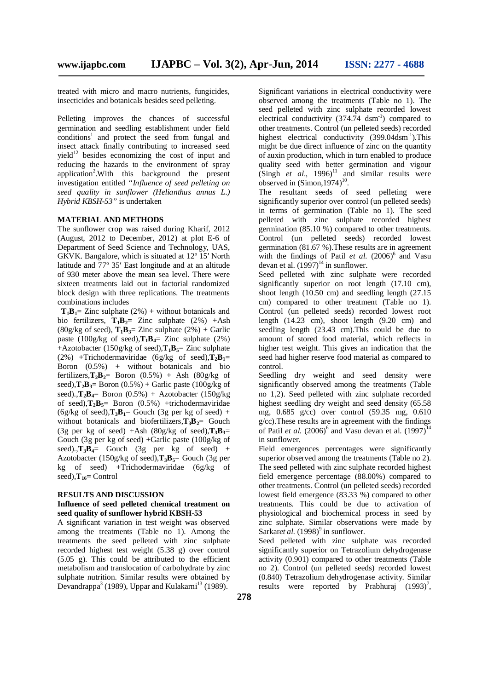treated with micro and macro nutrients, fungicides, insecticides and botanicals besides seed pelleting.

Pelleting improves the chances of successful germination and seedling establishment under field conditions<sup>1</sup> and protect the seed from fungal and insect attack finally contributing to increased seed vield<sup>12</sup> besides economizing the cost of input and reducing the hazards to the environment of spray application<sup>2</sup>. With this background the present investigation entitled *"Influence of seed pelleting on seed quality in sunflower (Helianthus annus L.) Hybrid KBSH-53"* is undertaken

### **MATERIAL AND METHODS**

The sunflower crop was raised during Kharif, 2012 (August, 2012 to December, 2012) at plot E-6 of Department of Seed Science and Technology, UAS, GKVK. Bangalore, which is situated at 12º 15′ North latitude and 77º 35′ East longitude and at an altitude of 930 meter above the mean sea level. There were sixteen treatments laid out in factorial randomized block design with three replications. The treatments combinations includes

 $T_1B_1 = Z$ inc sulphate (2%) + without botanicals and bio fertilizers,  $\mathbf{T}_1 \mathbf{B}_2 = \mathbf{Z}$  inc sulphate (2%) +Ash (80g/kg of seed),  $\mathbf{T}_1 \mathbf{B}_3 =$  Zinc sulphate (2%) + Garlic paste (100g/kg of seed), $\mathbf{T_1B_4} = \mathbf{Z}$ inc sulphate (2%) +Azotobacter (150g/kg of seed), $\mathbf{T}_1 \mathbf{B}_5$ = Zinc sulphate (2%) +Trichodermaviridae (6g/kg of seed),**T2B1**= Boron  $(0.5\%)$  + without botanicals and bio fertilizers, $\mathbf{T}_2 \mathbf{B}_2 = \text{Born}$  (0.5%) + Ash (80g/kg of seed), $\mathbf{T}_2 \mathbf{B}_3 = \text{Boron } (0.5\%) + \text{Garlic paste } (100\text{g/kg of})$ seed). $\mathbf{T}_2 \mathbf{B}_4$ = Boron (0.5%) + Azotobacter (150g/kg) of seed), $\mathbf{T}_2 \mathbf{B}_5 = \text{Born}$  (0.5%) +trichodermaviridae  $(6g/kg \text{ of seed})$ , $\mathbf{T}_3 \mathbf{B}_1 =$  Gouch  $(3g \text{ per kg of seed}) +$ without botanicals and biofertilizers,  $\mathbf{T}_3 \mathbf{B}_2 =$  Gouch (3g per kg of seed)  $+Ash$  (80g/kg of seed), $T_3B_3=$ Gouch (3g per kg of seed) +Garlic paste (100g/kg of seed). $\mathbf{T}_3 \mathbf{B}_4 =$  Gouch (3g per kg of seed) + Azotobacter (150g/kg of seed),**T3B5**= Gouch (3g per kg of seed) +Trichodermaviridae (6g/kg of seed),  $T_{16}$ = Control

#### **RESULTS AND DISCUSSION**

#### **Influence of seed pelleted chemical treatment on seed quality of sunflower hybrid KBSH-53**

A significant variation in test weight was observed among the treatments (Table no 1). Among the treatments the seed pelleted with zinc sulphate recorded highest test weight (5.38 g) over control  $(5.05 \text{ g})$ . This could be attributed to the efficient metabolism and translocation of carbohydrate by zinc sulphate nutrition. Similar results were obtained by Devandrappa<sup>3</sup> (1989), Uppar and Kulakarni<sup>13</sup> (1989).

Significant variations in electrical conductivity were observed among the treatments (Table no 1). The seed pelleted with zinc sulphate recorded lowest electrical conductivity  $(374.74 \text{ d} \text{sm}^{-1})$  compared to other treatments. Control (un pelleted seeds) recorded highest electrical conductivity (399.04dsm<sup>-1</sup>). This might be due direct influence of zinc on the quantity of auxin production, which in turn enabled to produce quality seed with better germination and vigour  $(Singh$  *et al.*, 1996)<sup>11</sup> and similar results were observed in  $(Simon, 1974)^{10}$ .

The resultant seeds of seed pelleting were significantly superior over control (un pelleted seeds) in terms of germination (Table no 1). The seed pelleted with zinc sulphate recorded highest germination (85.10 %) compared to other treatments. Control (un pelleted seeds) recorded lowest germination (81.67 %).These results are in agreement with the findings of Patil  $et$  al.  $(2006)^6$  and Vasu devan et al.  $(1997)^{14}$  in sunflower.

Seed pelleted with zinc sulphate were recorded significantly superior on root length (17.10 cm), shoot length (10.50 cm) and seedling length (27.15 cm) compared to other treatment (Table no 1). Control (un pelleted seeds) recorded lowest root length (14.23 cm), shoot length (9.20 cm) and seedling length (23.43 cm).This could be due to amount of stored food material, which reflects in higher test weight. This gives an indication that the seed had higher reserve food material as compared to control.

Seedling dry weight and seed density were significantly observed among the treatments (Table no 1,2). Seed pelleted with zinc sulphate recorded highest seedling dry weight and seed density (65.58) mg, 0.685 g/cc) over control (59.35 mg, 0.610 g/cc).These results are in agreement with the findings of Patil *et al.*  $(2006)^6$  and Vasu devan et al.  $(1997)^{14}$ in sunflower.

Field emergences percentages were significantly superior observed among the treatments (Table no 2). The seed pelleted with zinc sulphate recorded highest field emergence percentage (88.00%) compared to other treatments. Control (un pelleted seeds) recorded lowest field emergence (83.33 %) compared to other treatments. This could be due to activation of physiological and biochemical process in seed by zinc sulphate. Similar observations were made by Sarkaret al. (1998)<sup>9</sup> in sunflower.

Seed pelleted with zinc sulphate was recorded significantly superior on Tetrazolium dehydrogenase activity (0.901) compared to other treatments (Table no 2). Control (un pelleted seeds) recorded lowest (0.840) Tetrazolium dehydrogenase activity. Similar results were reported by Prabhuraj  $(1993)^7$ ,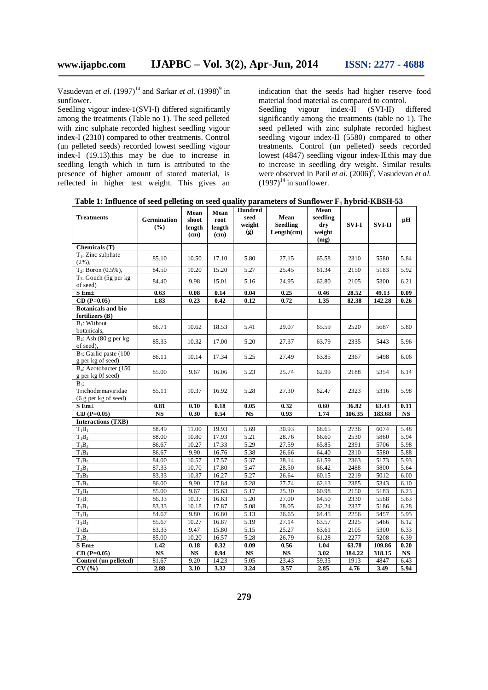Vasudevan *et al.* (1997)<sup>14</sup> and Sarkar *et al.* (1998)<sup>9</sup> in sunflower.

Seedling vigour index-1(SVI-I) differed significantly among the treatments (Table no 1). The seed pelleted with zinc sulphate recorded highest seedling vigour index-I (2310) compared to other treatments. Control (un pelleted seeds) recorded lowest seedling vigour index-I (19.13).this may be due to increase in seedling length which in turn is attributed to the presence of higher amount of stored material, is reflected in higher test weight. This gives an indication that the seeds had higher reserve food material food material as compared to control.

Seedling vigour index-II (SVI-II) differed significantly among the treatments (table no 1). The seed pelleted with zinc sulphate recorded highest seedling vigour index-II (5580) compared to other treatments. Control (un pelleted) seeds recorded lowest (4847) seedling vigour index-II.this may due to increase in seedling dry weight. Similar results were observed in Patil *et al.* (2006)<sup>6</sup>, Vasudevan *et al.*  $(1997)^{14}$  in sunflower.

**Table 1: Influence of seed pelleting on seed quality parameters of Sunflower F<sup>1</sup> hybrid-KBSH-53**

| <b>Treatments</b>                                               | <b>Germination</b><br>$(\%)$ | Mean<br>shoot<br>length<br>$\rm (cm)$ | Mean<br>root<br>length<br>(cm) | <b>Hundred</b><br>seed<br>weight<br>$\left( \mathbf{g} \right)$ | Mean<br><b>Seedling</b><br>Length(cm) | Mean<br>seedling<br>dry<br>weight<br>(mg) | <b>SVI-I</b>    | <b>SVI-II</b>    | pН                |
|-----------------------------------------------------------------|------------------------------|---------------------------------------|--------------------------------|-----------------------------------------------------------------|---------------------------------------|-------------------------------------------|-----------------|------------------|-------------------|
| Chemicals (T)                                                   |                              |                                       |                                |                                                                 |                                       |                                           |                 |                  |                   |
| $T_1$ : Zinc sulphate<br>$(2\%)$ ,                              | 85.10                        | 10.50                                 | 17.10                          | 5.80                                                            | 27.15                                 | 65.58                                     | 2310            | 5580             | 5.84              |
| $T_2$ : Boron $(0.5\%)$                                         | 84.50                        | 10.20                                 | 15.20                          | 5.27                                                            | 25.45                                 | 61.34                                     | 2150            | 5183             | 5.92              |
| $T_3$ : Gouch (5g per kg)<br>of seed)                           | 84.40                        | 9.98                                  | 15.01                          | 5.16                                                            | 24.95                                 | 62.80                                     | 2105            | 5300             | 6.21              |
| $S$ Em $\pm$                                                    | 0.63                         | 0.08                                  | 0.14                           | 0.04                                                            | 0.25                                  | 0.46                                      | 28.52           | 49.13            | 0.09              |
| $CD(P=0.05)$                                                    | 1.83                         | 0.23                                  | 0.42                           | 0.12                                                            | 0.72                                  | 1.35                                      | 82.38           | 142.28           | 0.26              |
| <b>Botanicals and bio</b><br>fertilizers (B)                    |                              |                                       |                                |                                                                 |                                       |                                           |                 |                  |                   |
| $B_1$ : Without<br>botanicals,                                  | 86.71                        | 10.62                                 | 18.53                          | 5.41                                                            | 29.07                                 | 65.59                                     | 2520            | 5687             | 5.80              |
| $B_2$ : Ash (80 g per kg<br>of seed).                           | 85.33                        | 10.32                                 | 17.00                          | 5.20                                                            | 27.37                                 | 63.79                                     | 2335            | 5443             | 5.96              |
| B <sub>3</sub> : Garlic paste (100<br>g per kg of seed)         | 86.11                        | 10.14                                 | 17.34                          | 5.25                                                            | 27.49                                 | 63.85                                     | 2367            | 5498             | 6.06              |
| B <sub>4</sub> : Azotobacter (150)<br>g per kg 0f seed)         | 85.00                        | 9.67                                  | 16.06                          | 5.23                                                            | 25.74                                 | 62.99                                     | 2188            | 5354             | 6.14              |
| $B_5$ :<br>Trichodermaviridae<br>$(6 \text{ g per kg of seed})$ | 85.11                        | 10.37                                 | 16.92                          | 5.28                                                            | 27.30                                 | 62.47                                     | 2323            | 5316             | 5.98              |
| $S$ Em $\pm$                                                    | 0.81                         | 0.10                                  | 0.18                           | 0.05                                                            | 0.32                                  | 0.60                                      | 36.82           | 63.43            | 0.11              |
| $CD(P=0.05)$                                                    | <b>NS</b>                    | 0.30                                  | 0.54                           | <b>NS</b>                                                       | 0.93                                  | 1.74                                      | 106.35          | 183.68           | <b>NS</b>         |
| <b>Interactions (TXB)</b>                                       |                              |                                       |                                |                                                                 |                                       |                                           |                 |                  |                   |
| $T_1B_1$                                                        | 88.49                        | 11.00                                 | 19.93                          | 5.69                                                            | 30.93                                 | 68.65                                     | 2736            | 6074             | 5.48              |
| $T_1B_2$                                                        | 88.00                        | 10.80                                 | 17.93                          | 5.21                                                            | 28.76                                 | 66.60                                     | 2530            | 5860             | 5.94              |
| $T_1B_3$                                                        | 86.67                        | 10.27                                 | 17.33                          | 5.29                                                            | 27.59                                 | 65.85                                     | 2391            | 5706             | 5.98              |
| $T_1B_4$<br>$T_1B_5$                                            | 86.67<br>84.00               | 9.90<br>10.57                         | 16.76<br>17.57                 | 5.38<br>5.37                                                    | 26.66<br>28.14                        | 64.40<br>61.59                            | 2310<br>2363    | 5580<br>5173     | 5.88<br>5.93      |
| $T_2B_1$                                                        | 87.33                        | 10.70                                 | 17.80                          | 5.47                                                            | 28.50                                 | 66.42                                     | 2488            | 5800             | 5.64              |
| $T_2B_2$                                                        | 83.33                        | 10.37                                 | 16.27                          | 5.27                                                            | 26.64                                 | 60.15                                     | 2219            | 5012             | 6.00              |
| $T_2B_3$                                                        | 86.00                        | 9.90                                  | 17.84                          | 5.28                                                            | 27.74                                 | 62.13                                     | 2385            | 5343             | 6.10              |
| $T_2B_4$                                                        | 85.00                        | 9.67                                  | 15.63                          | 5.17                                                            | 25.30                                 | 60.98                                     | 2150            | 5183             | 6.23              |
| $T_2B_5$                                                        | 86.33                        | 10.37                                 | 16.63                          | 5.20                                                            | 27.00                                 | 64.50                                     | 2330            | 5568             | 5.63              |
| $T_3B_1$                                                        | 83.33                        | 10.18                                 | 17.87                          | 5.08                                                            | 28.05                                 | 62.24                                     | 2337            | 5186             | 6.28              |
| $T_3B_2$                                                        | 84.67                        | 9.80                                  | 16.80                          | 5.13                                                            | 26.65                                 | 64.45                                     | 2256            | 5457             | 5.95              |
| $T_3B_3$                                                        | 85.67                        | 10.27                                 | 16.87                          | 5.19                                                            | 27.14                                 | 63.57                                     | 2325            | 5466             | 6.12              |
| $T_3B_4$                                                        | 83.33                        | 9.47                                  | 15.80                          | 5.15                                                            | 25.27                                 | 63.61                                     | 2105            | 5300             | 6.33              |
| $T_3B_5$                                                        | 85.00                        | 10.20                                 | 16.57                          | 5.28                                                            | 26.79                                 | 61.28                                     | 2277            | 5208             | 6.39              |
| $S$ Em $\pm$<br>$CD(P=0.05)$                                    | 1.42<br><b>NS</b>            | 0.18<br><b>NS</b>                     | 0.32<br>0.94                   | 0.09<br><b>NS</b>                                               | 0.56<br><b>NS</b>                     | 1.04<br>3.02                              | 63.78<br>184.22 | 109.86<br>318.15 | 0.20<br><b>NS</b> |
| Control (un pelleted)                                           | 81.67                        | 9.20                                  | 14.23                          | 5.05                                                            | 23.43                                 | 59.35                                     | 1913            | 4847             | 6.43              |
| CV(%)                                                           | 2.88                         | 3.10                                  | 3.32                           | 3.24                                                            | 3.57                                  | 2.85                                      | 4.76            | 3.49             | 5.94              |
|                                                                 |                              |                                       |                                |                                                                 |                                       |                                           |                 |                  |                   |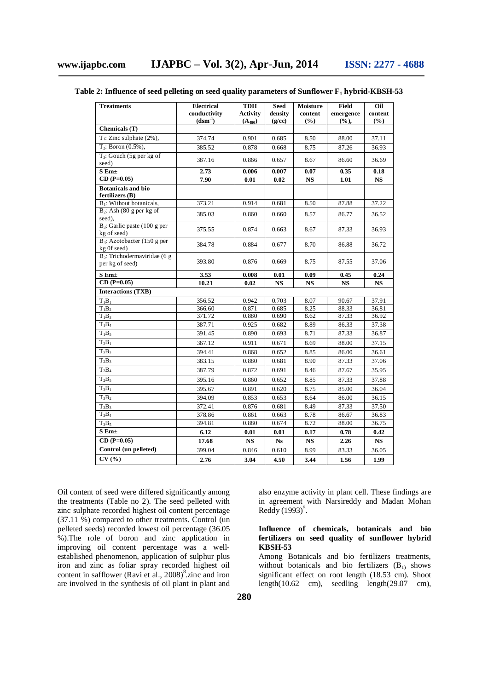| <b>Treatments</b>                                  | <b>Electrical</b><br>conductivity | <b>TDH</b><br><b>Activity</b> | <b>Seed</b><br>density | Moisture<br>content | Field<br>emergence | Oil<br>content |
|----------------------------------------------------|-----------------------------------|-------------------------------|------------------------|---------------------|--------------------|----------------|
|                                                    | $(dsm^{-1})$                      | $(A_{480})$                   | (g/cc)                 | $(\%)$              | $(\%),$            | $(\%)$         |
| Chemicals (T)                                      |                                   |                               |                        |                     |                    |                |
| $T_1$ : Zinc sulphate (2%),                        | 374.74                            | 0.901                         | 0.685                  | 8.50                | 88.00              | 37.11          |
| $T_2$ : Boron $(0.5\%)$ ,                          | 385.52                            | 0.878                         | 0.668                  | 8.75                | 87.26              | 36.93          |
| $T_3$ : Gouch (5g per kg of<br>seed)               | 387.16                            | 0.866                         | 0.657                  | 8.67                | 86.60              | 36.69          |
| $S$ Em $\pm$                                       | 2.73                              | 0.006                         | 0.007                  | 0.07                | 0.35               | 0.18           |
| $CD (P=0.05)$                                      | 7.90                              | 0.01                          | 0.02                   | <b>NS</b>           | 1.01               | <b>NS</b>      |
| <b>Botanicals and bio</b><br>fertilizers (B)       |                                   |                               |                        |                     |                    |                |
| B <sub>1</sub> : Without botanicals,               | 373.21                            | 0.914                         | 0.681                  | 8.50                | 87.88              | 37.22          |
| $B_2$ : Ash (80 g per kg of<br>seed),              | 385.03                            | 0.860                         | 0.660                  | 8.57                | 86.77              | 36.52          |
| $B_3$ : Garlic paste (100 g per<br>kg of seed)     | 375.55                            | 0.874                         | 0.663                  | 8.67                | 87.33              | 36.93          |
| $B_4$ : Azotobacter (150 g per<br>kg Of seed)      | 384.78                            | 0.884                         | 0.677                  | 8.70                | 86.88              | 36.72          |
| $B_5$ : Trichodermaviridae (6 g<br>per kg of seed) | 393.80                            | 0.876                         | 0.669                  | 8.75                | 87.55              | 37.06          |
| $S$ Em $\pm$                                       | 3.53                              | 0.008                         | 0.01                   | 0.09                | 0.45               | 0.24           |
| $\overline{\text{CD}}$ (P=0.05)                    | 10.21                             | 0.02                          | $\mathbf{NS}$          | <b>NS</b>           | <b>NS</b>          | <b>NS</b>      |
| <b>Interactions (TXB)</b>                          |                                   |                               |                        |                     |                    |                |
| $T_1B_1$                                           | 356.52                            | 0.942                         | 0.703                  | 8.07                | 90.67              | 37.91          |
| $T_1B_2$                                           | 366.60                            | 0.871                         | 0.685                  | 8.25                | 88.33              | 36.81          |
| $T_1B_3$                                           | 371.72                            | 0.880                         | 0.690                  | 8.62                | 87.33              | 36.92          |
| $T_1B_4$                                           | 387.71                            | 0.925                         | 0.682                  | 8.89                | 86.33              | 37.38          |
| $T_1B_5$                                           | 391.45                            | 0.890                         | 0.693                  | 8.71                | 87.33              | 36.87          |
| $T_2B_1$                                           | 367.12                            | 0.911                         | 0.671                  | 8.69                | 88.00              | 37.15          |
| $T_2B_2$                                           | 394.41                            | 0.868                         | 0.652                  | 8.85                | 86.00              | 36.61          |
| $T_2B_3$                                           | 383.15                            | 0.880                         | 0.681                  | 8.90                | 87.33              | 37.06          |
| $T_2B_4$                                           | 387.79                            | 0.872                         | 0.691                  | 8.46                | 87.67              | 35.95          |
| $T_2B_5$                                           | 395.16                            | 0.860                         | 0.652                  | 8.85                | 87.33              | 37.88          |
| $T_3B_1$                                           | 395.67                            | 0.891                         | 0.620                  | 8.75                | 85.00              | 36.04          |
| $T_3B_2$                                           | 394.09                            | 0.853                         | 0.653                  | 8.64                | 86.00              | 36.15          |
| $T_3B_3$                                           | 372.41                            | 0.876                         | 0.681                  | 8.49                | 87.33              | 37.50          |
| $T_3B_4$                                           | 378.86                            | 0.861                         | 0.663                  | 8.78                | 86.67              | 36.83          |
| $T_3B_5$                                           | 394.81                            | 0.880                         | 0.674                  | 8.72                | 88.00              | 36.75          |
| $S$ Em $\pm$                                       | 6.12                              | 0.01                          | 0.01                   | 0.17                | 0.78               | 0.42           |
| $CD (P=0.05)$                                      | 17.68                             | <b>NS</b>                     | N <sub>S</sub>         | <b>NS</b>           | 2.26               | <b>NS</b>      |
| Control (un pelleted)                              | 399.04                            | 0.846                         | 0.610                  | 8.99                | 83.33              | 36.05          |
| CV(%                                               | 2.76                              | 3.04                          | 4.50                   | 3.44                | 1.56               | 1.99           |

# **Table 2: Influence of seed pelleting on seed quality parameters of Sunflower F<sup>1</sup> hybrid-KBSH-53**

Oil content of seed were differed significantly among the treatments (Table no 2). The seed pelleted with zinc sulphate recorded highest oil content percentage (37.11 %) compared to other treatments. Control (un pelleted seeds) recorded lowest oil percentage (36.05 %).The role of boron and zinc application in improving oil content percentage was a wellestablished phenomenon, application of sulphur plus iron and zinc as foliar spray recorded highest oil content in safflower (Ravi et al., 2008)<sup>8</sup> zinc and iron are involved in the synthesis of oil plant in plant and

also enzyme activity in plant cell. These findings are in agreement with Narsireddy and Madan Mohan Reddy  $(1993)^5$ .

### **Influence of chemicals, botanicals and bio fertilizers on seed quality of sunflower hybrid KBSH-53**

Among Botanicals and bio fertilizers treatments, without botanicals and bio fertilizers  $(B<sub>1</sub>)$  shows significant effect on root length (18.53 cm). Shoot length(10.62 cm), seedling length(29.07 cm),